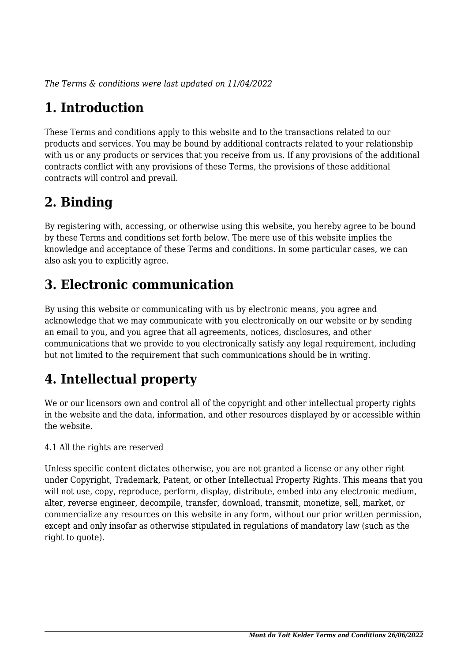*The Terms & conditions were last updated on 11/04/2022*

# **1. Introduction**

These Terms and conditions apply to this website and to the transactions related to our products and services. You may be bound by additional contracts related to your relationship with us or any products or services that you receive from us. If any provisions of the additional contracts conflict with any provisions of these Terms, the provisions of these additional contracts will control and prevail.

## **2. Binding**

By registering with, accessing, or otherwise using this website, you hereby agree to be bound by these Terms and conditions set forth below. The mere use of this website implies the knowledge and acceptance of these Terms and conditions. In some particular cases, we can also ask you to explicitly agree.

# **3. Electronic communication**

By using this website or communicating with us by electronic means, you agree and acknowledge that we may communicate with you electronically on our website or by sending an email to you, and you agree that all agreements, notices, disclosures, and other communications that we provide to you electronically satisfy any legal requirement, including but not limited to the requirement that such communications should be in writing.

# **4. Intellectual property**

We or our licensors own and control all of the copyright and other intellectual property rights in the website and the data, information, and other resources displayed by or accessible within the website.

4.1 All the rights are reserved

Unless specific content dictates otherwise, you are not granted a license or any other right under Copyright, Trademark, Patent, or other Intellectual Property Rights. This means that you will not use, copy, reproduce, perform, display, distribute, embed into any electronic medium, alter, reverse engineer, decompile, transfer, download, transmit, monetize, sell, market, or commercialize any resources on this website in any form, without our prior written permission, except and only insofar as otherwise stipulated in regulations of mandatory law (such as the right to quote).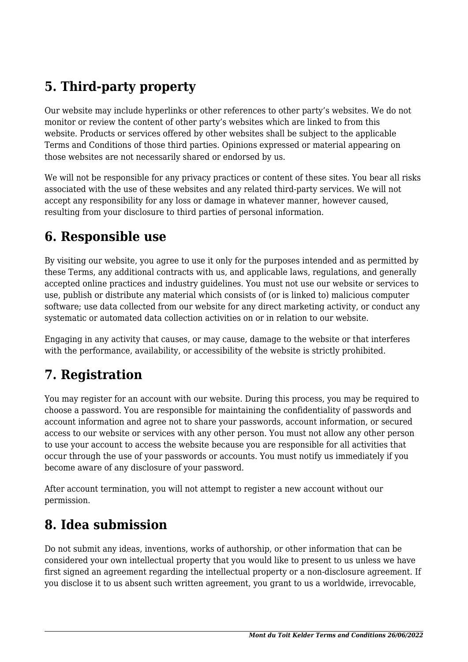# **5. Third-party property**

Our website may include hyperlinks or other references to other party's websites. We do not monitor or review the content of other party's websites which are linked to from this website. Products or services offered by other websites shall be subject to the applicable Terms and Conditions of those third parties. Opinions expressed or material appearing on those websites are not necessarily shared or endorsed by us.

We will not be responsible for any privacy practices or content of these sites. You bear all risks associated with the use of these websites and any related third-party services. We will not accept any responsibility for any loss or damage in whatever manner, however caused, resulting from your disclosure to third parties of personal information.

#### **6. Responsible use**

By visiting our website, you agree to use it only for the purposes intended and as permitted by these Terms, any additional contracts with us, and applicable laws, regulations, and generally accepted online practices and industry guidelines. You must not use our website or services to use, publish or distribute any material which consists of (or is linked to) malicious computer software; use data collected from our website for any direct marketing activity, or conduct any systematic or automated data collection activities on or in relation to our website.

Engaging in any activity that causes, or may cause, damage to the website or that interferes with the performance, availability, or accessibility of the website is strictly prohibited.

## **7. Registration**

You may register for an account with our website. During this process, you may be required to choose a password. You are responsible for maintaining the confidentiality of passwords and account information and agree not to share your passwords, account information, or secured access to our website or services with any other person. You must not allow any other person to use your account to access the website because you are responsible for all activities that occur through the use of your passwords or accounts. You must notify us immediately if you become aware of any disclosure of your password.

After account termination, you will not attempt to register a new account without our permission.

#### **8. Idea submission**

Do not submit any ideas, inventions, works of authorship, or other information that can be considered your own intellectual property that you would like to present to us unless we have first signed an agreement regarding the intellectual property or a non-disclosure agreement. If you disclose it to us absent such written agreement, you grant to us a worldwide, irrevocable,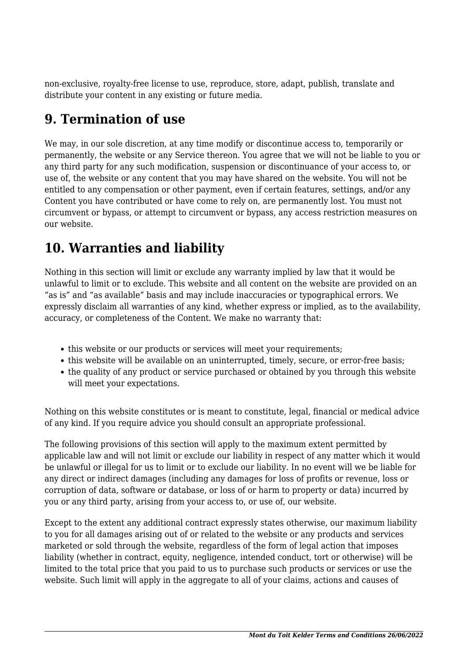non-exclusive, royalty-free license to use, reproduce, store, adapt, publish, translate and distribute your content in any existing or future media.

### **9. Termination of use**

We may, in our sole discretion, at any time modify or discontinue access to, temporarily or permanently, the website or any Service thereon. You agree that we will not be liable to you or any third party for any such modification, suspension or discontinuance of your access to, or use of, the website or any content that you may have shared on the website. You will not be entitled to any compensation or other payment, even if certain features, settings, and/or any Content you have contributed or have come to rely on, are permanently lost. You must not circumvent or bypass, or attempt to circumvent or bypass, any access restriction measures on our website.

# **10. Warranties and liability**

Nothing in this section will limit or exclude any warranty implied by law that it would be unlawful to limit or to exclude. This website and all content on the website are provided on an "as is" and "as available" basis and may include inaccuracies or typographical errors. We expressly disclaim all warranties of any kind, whether express or implied, as to the availability, accuracy, or completeness of the Content. We make no warranty that:

- this website or our products or services will meet your requirements;
- this website will be available on an uninterrupted, timely, secure, or error-free basis;
- the quality of any product or service purchased or obtained by you through this website will meet your expectations.

Nothing on this website constitutes or is meant to constitute, legal, financial or medical advice of any kind. If you require advice you should consult an appropriate professional.

The following provisions of this section will apply to the maximum extent permitted by applicable law and will not limit or exclude our liability in respect of any matter which it would be unlawful or illegal for us to limit or to exclude our liability. In no event will we be liable for any direct or indirect damages (including any damages for loss of profits or revenue, loss or corruption of data, software or database, or loss of or harm to property or data) incurred by you or any third party, arising from your access to, or use of, our website.

Except to the extent any additional contract expressly states otherwise, our maximum liability to you for all damages arising out of or related to the website or any products and services marketed or sold through the website, regardless of the form of legal action that imposes liability (whether in contract, equity, negligence, intended conduct, tort or otherwise) will be limited to the total price that you paid to us to purchase such products or services or use the website. Such limit will apply in the aggregate to all of your claims, actions and causes of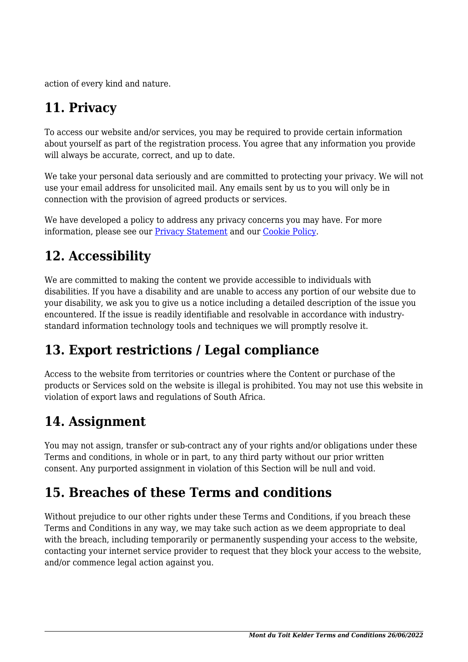action of every kind and nature.

# **11. Privacy**

To access our website and/or services, you may be required to provide certain information about yourself as part of the registration process. You agree that any information you provide will always be accurate, correct, and up to date.

We take your personal data seriously and are committed to protecting your privacy. We will not use your email address for unsolicited mail. Any emails sent by us to you will only be in connection with the provision of agreed products or services.

We have developed a policy to address any privacy concerns you may have. For more information, please see our Privacy Statement and our [Cookie Policy](https://montdutoitwines.co.za/privacy-policy/).

### **12. Accessibility**

We are committed to making the content we provide accessible to individuals with disabilities. If you have a disability and are unable to access any portion of our website due to your disability, we ask you to give us a notice including a detailed description of the issue you encountered. If the issue is readily identifiable and resolvable in accordance with industrystandard information technology tools and techniques we will promptly resolve it.

## **13. Export restrictions / Legal compliance**

Access to the website from territories or countries where the Content or purchase of the products or Services sold on the website is illegal is prohibited. You may not use this website in violation of export laws and regulations of South Africa.

#### **14. Assignment**

You may not assign, transfer or sub-contract any of your rights and/or obligations under these Terms and conditions, in whole or in part, to any third party without our prior written consent. Any purported assignment in violation of this Section will be null and void.

#### **15. Breaches of these Terms and conditions**

Without prejudice to our other rights under these Terms and Conditions, if you breach these Terms and Conditions in any way, we may take such action as we deem appropriate to deal with the breach, including temporarily or permanently suspending your access to the website, contacting your internet service provider to request that they block your access to the website, and/or commence legal action against you.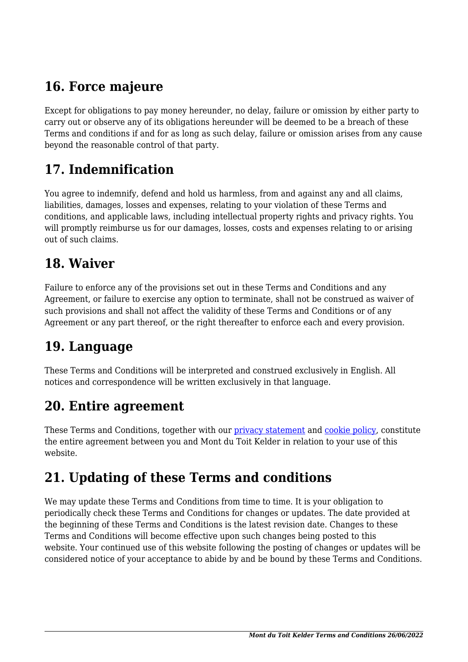# **16. Force majeure**

Except for obligations to pay money hereunder, no delay, failure or omission by either party to carry out or observe any of its obligations hereunder will be deemed to be a breach of these Terms and conditions if and for as long as such delay, failure or omission arises from any cause beyond the reasonable control of that party.

### **17. Indemnification**

You agree to indemnify, defend and hold us harmless, from and against any and all claims, liabilities, damages, losses and expenses, relating to your violation of these Terms and conditions, and applicable laws, including intellectual property rights and privacy rights. You will promptly reimburse us for our damages, losses, costs and expenses relating to or arising out of such claims.

#### **18. Waiver**

Failure to enforce any of the provisions set out in these Terms and Conditions and any Agreement, or failure to exercise any option to terminate, shall not be construed as waiver of such provisions and shall not affect the validity of these Terms and Conditions or of any Agreement or any part thereof, or the right thereafter to enforce each and every provision.

#### **19. Language**

These Terms and Conditions will be interpreted and construed exclusively in English. All notices and correspondence will be written exclusively in that language.

#### **20. Entire agreement**

These Terms and Conditions, together with our privacy statement and [cookie policy,](https://montdutoitwines.co.za/privacy-policy/) constitute the entire agreement between you and Mont du Toit Kelder in relation to your use of this website.

## **21. Updating of these Terms and conditions**

We may update these Terms and Conditions from time to time. It is your obligation to periodically check these Terms and Conditions for changes or updates. The date provided at the beginning of these Terms and Conditions is the latest revision date. Changes to these Terms and Conditions will become effective upon such changes being posted to this website. Your continued use of this website following the posting of changes or updates will be considered notice of your acceptance to abide by and be bound by these Terms and Conditions.